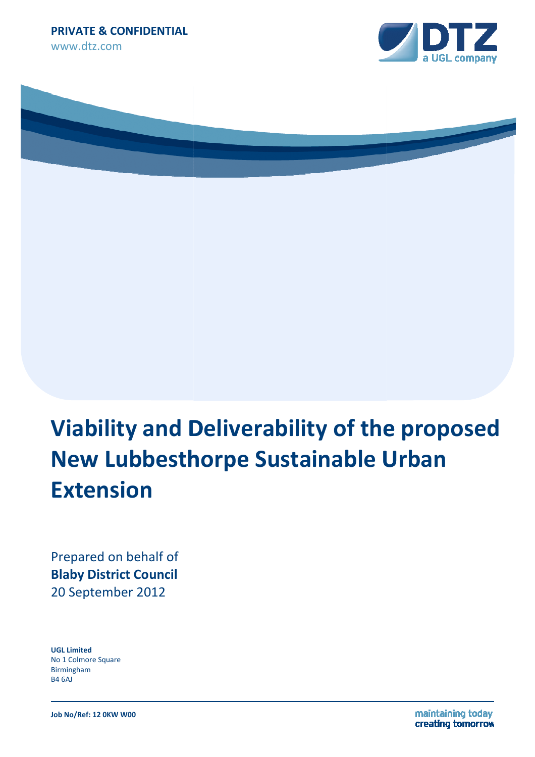



# **Viability and Deliverability of the proposed New Lubbesthorpe Sustainable Urban Extension**

Prepared on behalf of **Blaby District Council**  20 September 2012

**UGL Limited**  No 1 Colmore Square Birmingham B4 6AJ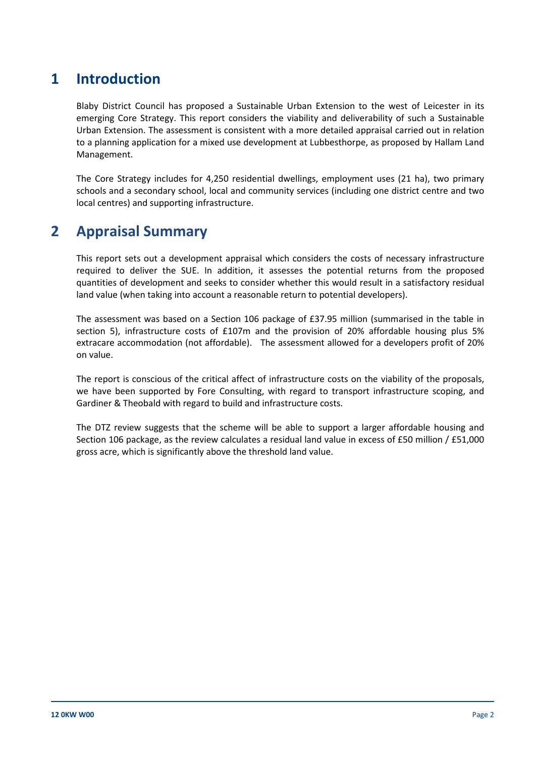#### **1 Introduction**

 Blaby District Council has proposed a Sustainable Urban Extension to the west of Leicester in its emerging Core Strategy. This report considers the viability and deliverability of such a Sustainable Urban Extension. The assessment is consistent with a more detailed appraisal carried out in relation to a planning application for a mixed use development at Lubbesthorpe, as proposed by Hallam Land Management.

 The Core Strategy includes for 4,250 residential dwellings, employment uses (21 ha), two primary schools and a secondary school, local and community services (including one district centre and two local centres) and supporting infrastructure.

#### **2 Appraisal Summary**

 This report sets out a development appraisal which considers the costs of necessary infrastructure required to deliver the SUE. In addition, it assesses the potential returns from the proposed quantities of development and seeks to consider whether this would result in a satisfactory residual land value (when taking into account a reasonable return to potential developers).

 The assessment was based on a Section 106 package of £37.95 million (summarised in the table in section 5), infrastructure costs of £107m and the provision of 20% affordable housing plus 5% extracare accommodation (not affordable). The assessment allowed for a developers profit of 20% on value.

 The report is conscious of the critical affect of infrastructure costs on the viability of the proposals, we have been supported by Fore Consulting, with regard to transport infrastructure scoping, and Gardiner & Theobald with regard to build and infrastructure costs.

 The DTZ review suggests that the scheme will be able to support a larger affordable housing and Section 106 package, as the review calculates a residual land value in excess of £50 million / £51,000 gross acre, which is significantly above the threshold land value.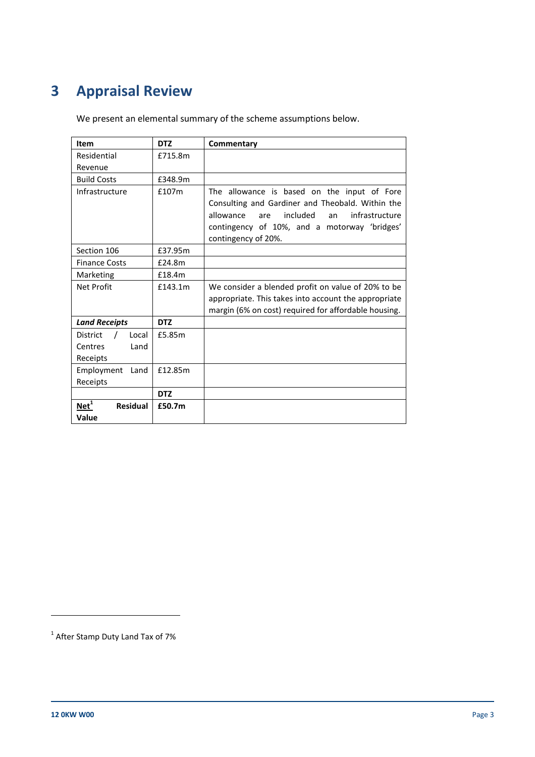# **3 Appraisal Review**

We present an elemental summary of the scheme assumptions below.

| Item                                                                         | <b>DTZ</b> | Commentary                                                                                                                                                                                                                     |
|------------------------------------------------------------------------------|------------|--------------------------------------------------------------------------------------------------------------------------------------------------------------------------------------------------------------------------------|
| Residential                                                                  | £715.8m    |                                                                                                                                                                                                                                |
| Revenue                                                                      |            |                                                                                                                                                                                                                                |
| <b>Build Costs</b>                                                           | £348.9m    |                                                                                                                                                                                                                                |
| Infrastructure                                                               | £107m      | The allowance is based on the input of Fore<br>Consulting and Gardiner and Theobald. Within the<br>included<br>allowance<br>infrastructure<br>are<br>an<br>contingency of 10%, and a motorway 'bridges'<br>contingency of 20%. |
| Section 106                                                                  | £37.95m    |                                                                                                                                                                                                                                |
| <b>Finance Costs</b>                                                         | £24.8m     |                                                                                                                                                                                                                                |
| Marketing                                                                    | £18.4m     |                                                                                                                                                                                                                                |
| Net Profit                                                                   | £143.1m    | We consider a blended profit on value of 20% to be<br>appropriate. This takes into account the appropriate<br>margin (6% on cost) required for affordable housing.                                                             |
| <b>Land Receipts</b>                                                         | <b>DTZ</b> |                                                                                                                                                                                                                                |
| $\overline{\phantom{a}}$<br>District<br>Local<br>Land<br>Centres<br>Receipts | £5.85m     |                                                                                                                                                                                                                                |
| Employment<br>Land                                                           | £12.85m    |                                                                                                                                                                                                                                |
| Receipts                                                                     |            |                                                                                                                                                                                                                                |
|                                                                              | <b>DTZ</b> |                                                                                                                                                                                                                                |
| $Net1$<br><b>Residual</b><br>Value                                           | £50.7m     |                                                                                                                                                                                                                                |

1

 $^1$  After Stamp Duty Land Tax of 7%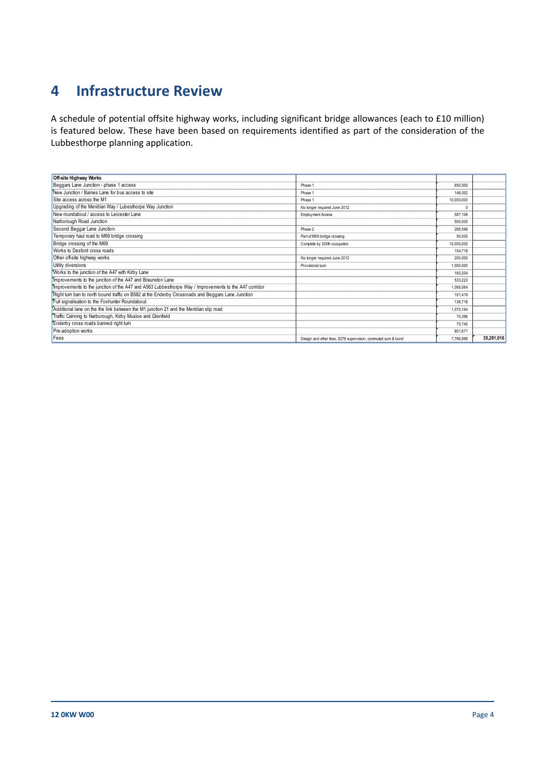## **4 Infrastructure Review**

 A schedule of potential offsite highway works, including significant bridge allowances (each to £10 million) is featured below. These have been based on requirements identified as part of the consideration of the Lubbesthorpe planning application.

| <b>Off-site Highway Works</b>                                                                         |                                                              |            |            |
|-------------------------------------------------------------------------------------------------------|--------------------------------------------------------------|------------|------------|
| Beggars Lane Junction - phase 1 access                                                                | Phase 1                                                      | 650,000    |            |
| New Junction / Baines Lane for bus access to site                                                     | Phase 1                                                      | 146.052    |            |
| Site access across the M1                                                                             | Phase 1                                                      | 10.000.000 |            |
| Upgrading of the Meridian Way / Lubesthorpe Way Junction                                              | No longer required June 2012                                 | $\Omega$   |            |
| New roundabout / access to Leicester Lane                                                             | Employment Access                                            | 587.106    |            |
| Narborough Road Junction                                                                              |                                                              | 500,000    |            |
| Second Beggar Lane Junction                                                                           | Phase 2                                                      | 268,548    |            |
| Temporary haul road to M69 bridge crossing                                                            | Part of M69 bridge crossing                                  | 50,000     |            |
| Bridge crossing of the M69                                                                            | Complete by 200th occupation                                 | 10.000.000 |            |
| Works to Desford cross roads                                                                          |                                                              | 104.718    |            |
| Other off-site highway works                                                                          | No longer required June 2012                                 | 200,000    |            |
| Utility diversions                                                                                    | Provisional sum                                              | 1.000.000  |            |
| Works to the junction of the A47 with Kirby Lane                                                      |                                                              | 160,204    |            |
| Improvements to the junction of the A47 and Braunston Lane                                            |                                                              | 533.223    |            |
| Timprovements to the junction of the A47 and A563 Lubbesthorpe Way / Improvements to the A47 corridor |                                                              | 1.068.064  |            |
| Right turn ban to north bound traffic on B582 at the Enderby Crossroads and Beggars Lane Junction     |                                                              | 101.419    |            |
| Full signalisation to the Foxhunter Roundabout                                                        |                                                              | 136,718    |            |
| Additional lane on the the link between the M1 junction 21 and the Meridian slip road                 |                                                              | 1.070.164  |            |
| Traffic Calming to Narborough, Kirby Muxloe and Glenfield                                             |                                                              | 70.396     |            |
| Enderby cross roads banned right turn                                                                 |                                                              | 75.745     |            |
| Pre-adoption works                                                                                    |                                                              | 801.671    |            |
| Fees                                                                                                  | Design and other fees, S278 supervision, commuted sum & bond | 7,766,988  | 35,291,016 |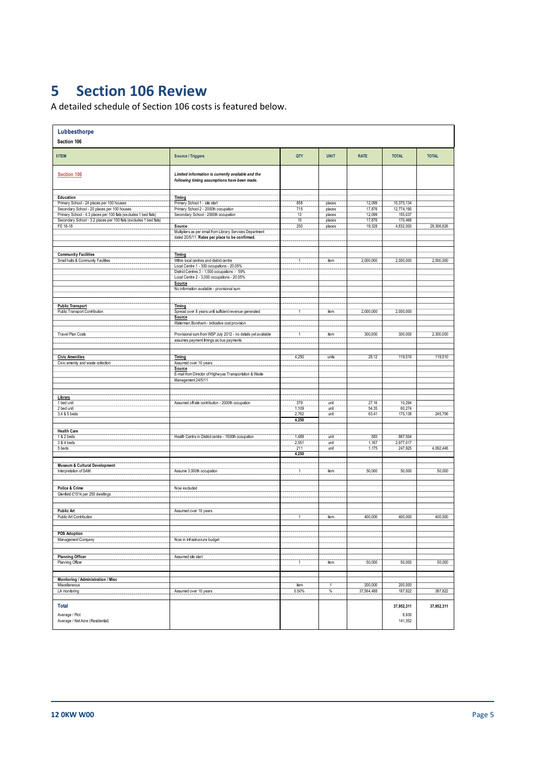## **5 Section 106 Review**

A detailed schedule of Section 106 costs is featured below.

| Lubbesthorpe<br>Section 106                                        |                                                                                                          |                |               |                |              |              |  |  |  |
|--------------------------------------------------------------------|----------------------------------------------------------------------------------------------------------|----------------|---------------|----------------|--------------|--------------|--|--|--|
| <b>IITEM</b>                                                       | <b>Source / Triggers</b>                                                                                 | QTY            | <b>UNIT</b>   | <b>RATE</b>    | <b>TOTAL</b> | <b>TOTAL</b> |  |  |  |
| Section 106                                                        | Limited information is currently available and the<br>following timing assumptions have been made.       |                |               |                |              |              |  |  |  |
| <b>Education</b>                                                   | Timing                                                                                                   |                |               |                |              |              |  |  |  |
| Primary School - 24 places per 100 houses                          | Primary School 1 - site start                                                                            | 858            | places        | 12,099         | 10,375,134   |              |  |  |  |
| Secondary School - 20 places per 100 houses                        | Primary School 2 - 2000th occupation                                                                     | 715            | places        | 17,876         | 12,774,190   |              |  |  |  |
| Primary School - 4.3 places per 100 flats (excludes 1 bed flats)   | Secondary School - 2000th occupation                                                                     | 13             | places        | 12,099         | 155,037      |              |  |  |  |
| Secondary School - 3.2 places per 100 flats (excludes 1 bed flats) |                                                                                                          | 10             | places        | 17,876         | 170,466      |              |  |  |  |
| FE 16-18                                                           | Source<br>Multipliers as per email from Library Services Department                                      | 250            | places        | 19,328         | 4,832,000    | 28,306,826   |  |  |  |
|                                                                    | dated 20/5/11. Rates per place to be confirmed.                                                          |                |               |                |              |              |  |  |  |
|                                                                    |                                                                                                          |                |               |                |              |              |  |  |  |
| <b>Community Facilities</b><br>Small halls & Community Facilities  | Timing<br>Within local centres and district centre                                                       | $\mathbf{1}$   | item          | 2,000,000      | 2,000,000    | 2,000,000    |  |  |  |
|                                                                    | Local Centre 1 - 300 occupations - 20.05%                                                                |                |               |                |              |              |  |  |  |
|                                                                    | District Centres 3 - 1,500 occupations - 59%<br>Local Centre 2 - 3,000 occupations - 20.05%              |                |               |                |              |              |  |  |  |
|                                                                    | Source                                                                                                   |                |               |                |              |              |  |  |  |
|                                                                    | No information available - provisional sum                                                               |                |               |                |              |              |  |  |  |
| <b>Public Transport</b>                                            | Timing                                                                                                   |                |               |                |              |              |  |  |  |
| Public Transport Contribution                                      | Spread over 8 years until sufficient revenue generated                                                   | $\overline{1}$ | item          | 2,000,000      | 2,000,000    |              |  |  |  |
|                                                                    | Source                                                                                                   |                |               |                |              |              |  |  |  |
|                                                                    | Waterman Boreham - indicative cost provision                                                             |                |               |                |              |              |  |  |  |
| Travel Plan Costs                                                  | Provisional sum from WSP July 2012 - no details yet available<br>assumes payment timings as bus payments | $\mathbf{1}$   | item          | 300,000        | 300,000      | 2,300,000    |  |  |  |
| <b>Civic Amenities</b>                                             | Timing                                                                                                   | 4,250          | units         | 28.12          | 119,510      | 119,510      |  |  |  |
| Civic amenity and waste collection                                 | Assumed over 10 years                                                                                    |                |               |                |              |              |  |  |  |
|                                                                    | Source                                                                                                   |                |               |                |              |              |  |  |  |
|                                                                    | E-mail from Director of Highwyas Transportation & Waste                                                  |                |               |                |              |              |  |  |  |
|                                                                    | Management 24/5/11                                                                                       |                |               |                |              |              |  |  |  |
|                                                                    |                                                                                                          |                |               |                |              |              |  |  |  |
| Library                                                            |                                                                                                          |                |               |                |              |              |  |  |  |
| 1 bed unit                                                         | Assumed off-site contribution - 2000th occupation                                                        | 379            | unit          | 27.16          | 10,294       |              |  |  |  |
| 2 bed unit                                                         |                                                                                                          | 1,109<br>2,762 | unit<br>unit  | 54.35<br>63.41 | 60,274       | 245,706      |  |  |  |
| 3,4 & 5 beds                                                       |                                                                                                          | 4,250          |               |                | 175,138      |              |  |  |  |
|                                                                    |                                                                                                          |                |               |                |              |              |  |  |  |
| <b>Health Care</b><br>1 & 2 beds                                   | Health Centre in District centre - 1500th occupation                                                     | 1,488          | unit          | 583            | 867,504      |              |  |  |  |
| 3 & 4 beds                                                         |                                                                                                          | 2,551          | unit          | 1,167          | 2,977,017    |              |  |  |  |
| 5 beds                                                             |                                                                                                          | 211            | unit          | 1,175          | 247,925      | 4,092,446    |  |  |  |
|                                                                    |                                                                                                          | 4,250          |               |                |              |              |  |  |  |
| Museum & Cultural Development                                      |                                                                                                          |                |               |                |              |              |  |  |  |
| Interpretation of SAM                                              | Assume 3,000th occupation                                                                                | $\mathbf{1}$   | item          | 50,000         | 50,000       | 50,000       |  |  |  |
|                                                                    |                                                                                                          |                |               |                |              |              |  |  |  |
| Police & Crime<br>Glenfield £151k per 250 dwellings                | Now excluded                                                                                             |                |               |                |              |              |  |  |  |
|                                                                    |                                                                                                          |                |               |                |              |              |  |  |  |
| <b>Public Art</b>                                                  | Assumed over 10 years                                                                                    |                |               |                |              |              |  |  |  |
| Public Art Contribution                                            |                                                                                                          | $\overline{1}$ | item          | 400,000        | 400,000      | 400,000      |  |  |  |
|                                                                    |                                                                                                          |                |               |                |              |              |  |  |  |
| POS Adoption                                                       |                                                                                                          |                |               |                |              |              |  |  |  |
| Management Company                                                 | Now in infrastrucrure budget                                                                             |                |               |                |              |              |  |  |  |
|                                                                    |                                                                                                          |                |               |                |              |              |  |  |  |
| <b>Planning Officer</b><br>Planning Officer                        | Assumed site start                                                                                       | $\mathbf{1}$   | item          | 50,000         | 50,000       | 50,000       |  |  |  |
|                                                                    |                                                                                                          |                |               |                |              |              |  |  |  |
| Monitoring / Administration / Misc                                 |                                                                                                          |                |               |                |              |              |  |  |  |
| Miscellaneous                                                      |                                                                                                          | item           | 1             | 200,000        | 200,000      |              |  |  |  |
| LA monitoring                                                      | Assumed over 10 years                                                                                    | 0.50%          | $\frac{9}{6}$ | 37,564,488     | 187,822      | 387,822      |  |  |  |
|                                                                    |                                                                                                          |                |               |                |              |              |  |  |  |
| <b>Total</b>                                                       |                                                                                                          |                |               |                | 37,952,311   | 37,952,311   |  |  |  |
| Average / Plot                                                     |                                                                                                          |                |               |                | 8,930        |              |  |  |  |
| Average / Net Acre (Residential)                                   |                                                                                                          |                |               |                | 141,352      |              |  |  |  |